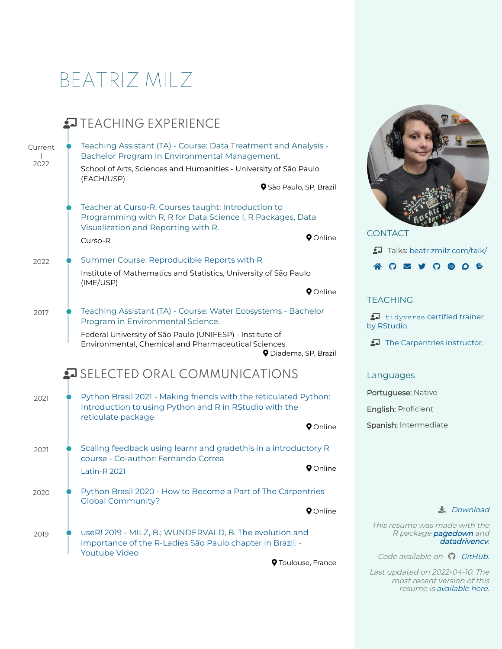# BEATRIZ MILZ







# **TFACHING**

[tidyverse](https://education.rstudio.com/trainers/people/milz+beatriz/) certified trainer by RStudio.

The [Carpentries](https://carpentries.org/) instructor.

# Languages

Portuguese: Native

English: Proficient

Spanish: Intermediate

# **L**<br>[Download](https://beatrizmilz.github.io/resume/index.pdf)

This resume was made with the R package **[pagedown](https://github.com/rstudio/pagedown)** and [datadrivencv](http://nickstrayer.me/datadrivencv/index.html).

Code available on  $\Omega$  [GitHub](https://github.com/beatrizmilz/resume).

Last updated on 2022-04-10. The most recent version of this resume is [available](https://beatrizmilz.github.io/resume/index.pdf) here.